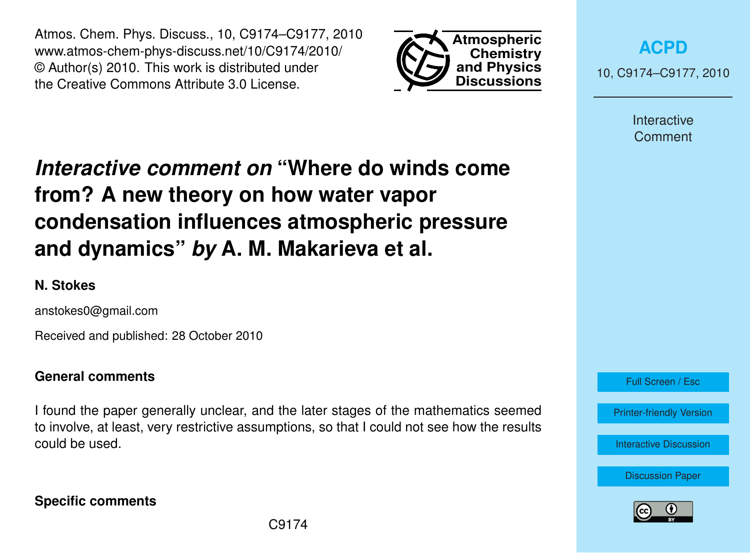Atmos. Chem. Phys. Discuss., 10, C9174–C9177, 2010 www.atmos-chem-phys-discuss.net/10/C9174/2010/ © Author(s) 2010. This work is distributed under the Creative Commons Attribute 3.0 License.



**[ACPD](http://www.atmos-chem-phys-discuss.net)** 10, C9174–C9177, 2010

> Interactive Comment

## *Interactive comment on* **"Where do winds come from? A new theory on how water vapor condensation influences atmospheric pressure and dynamics"** *by* **A. M. Makarieva et al.**

## **N. Stokes**

anstokes0@gmail.com

Received and published: 28 October 2010

### **General comments**

I found the paper generally unclear, and the later stages of the mathematics seemed to involve, at least, very restrictive assumptions, so that I could not see how the results could be used.

Full Screen / Esc

[Printer-friendly Version](http://www.atmos-chem-phys-discuss.net/10/C9174/2010/acpd-10-C9174-2010-print.pdf)

[Interactive Discussion](http://www.atmos-chem-phys-discuss.net/10/24015/2010/acpd-10-24015-2010-discussion.html)

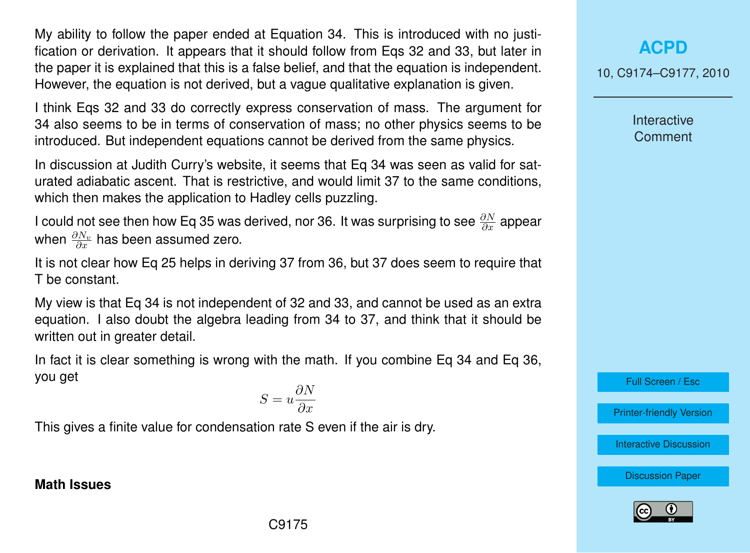My ability to follow the paper ended at Equation 34. This is introduced with no justification or derivation. It appears that it should follow from Eqs 32 and 33, but later in the paper it is explained that this is a false belief, and that the equation is independent. However, the equation is not derived, but a vague qualitative explanation is given.

I think Eqs 32 and 33 do correctly express conservation of mass. The argument for 34 also seems to be in terms of conservation of mass; no other physics seems to be introduced. But independent equations cannot be derived from the same physics.

In discussion at Judith Curry's website, it seems that Eq 34 was seen as valid for saturated adiabatic ascent. That is restrictive, and would limit 37 to the same conditions, which then makes the application to Hadley cells puzzling.

I could not see then how Eq 35 was derived, nor 36. It was surprising to see  $\frac{\partial N}{\partial x}$  appear when  $\frac{\partial N_v}{\partial x}$  has been assumed zero.

It is not clear how Eq 25 helps in deriving 37 from 36, but 37 does seem to require that T be constant.

My view is that Eq 34 is not independent of 32 and 33, and cannot be used as an extra equation. I also doubt the algebra leading from 34 to 37, and think that it should be written out in greater detail.

In fact it is clear something is wrong with the math. If you combine Eq 34 and Eq 36, you get

$$
S = u \frac{\partial N}{\partial x}
$$

This gives a finite value for condensation rate S even if the air is dry.

#### **Math Issues**

# **[ACPD](http://www.atmos-chem-phys-discuss.net)**

10, C9174–C9177, 2010

**Interactive Comment** 

Full Screen / Esc

[Printer-friendly Version](http://www.atmos-chem-phys-discuss.net/10/C9174/2010/acpd-10-C9174-2010-print.pdf)

[Interactive Discussion](http://www.atmos-chem-phys-discuss.net/10/24015/2010/acpd-10-24015-2010-discussion.html)

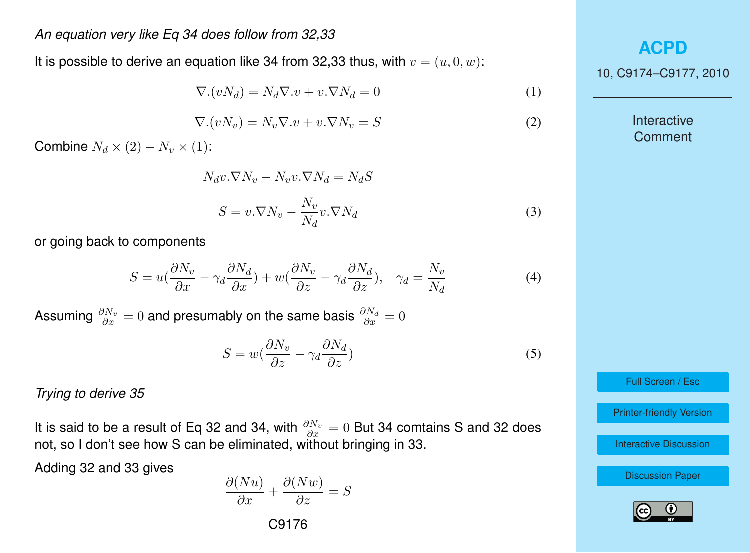#### *An equation very like Eq 34 does follow from 32,33*

It is possible to derive an equation like 34 from 32,33 thus, with  $v = (u, 0, w)$ :

$$
\nabla.(vN_d) = N_d \nabla .v + v.\nabla N_d = 0 \tag{1}
$$

$$
\nabla.(vN_v) = N_v \nabla .v + v.\nabla N_v = S \tag{2}
$$

Combine  $N_d \times (2) - N_v \times (1)$ :

$$
N_d v \cdot \nabla N_v - N_v v \cdot \nabla N_d = N_d S
$$
  

$$
S = v \cdot \nabla N_v - \frac{N_v}{N_d} v \cdot \nabla N_d
$$
 (3)

or going back to components

$$
S = u\left(\frac{\partial N_v}{\partial x} - \gamma_d \frac{\partial N_d}{\partial x}\right) + w\left(\frac{\partial N_v}{\partial z} - \gamma_d \frac{\partial N_d}{\partial z}\right), \quad \gamma_d = \frac{N_v}{N_d}
$$
(4)

Assuming  $\frac{\partial N_v}{\partial x}=0$  and presumably on the same basis  $\frac{\partial N_d}{\partial x}=0$ 

$$
S = w\left(\frac{\partial N_v}{\partial z} - \gamma_d \frac{\partial N_d}{\partial z}\right) \tag{5}
$$

#### *Trying to derive 35*

It is said to be a result of Eq 32 and 34, with  $\frac{\partial N_v}{\partial x} = 0$  But 34 comtains S and 32 does not, so I don't see how S can be eliminated, without bringing in 33.

Adding 32 and 33 gives

$$
\frac{\partial (Nu)}{\partial x} + \frac{\partial (Nw)}{\partial z} = S
$$

C9176

**[ACPD](http://www.atmos-chem-phys-discuss.net)**

10, C9174–C9177, 2010

Interactive Comment

Full Screen / Esc

[Printer-friendly Version](http://www.atmos-chem-phys-discuss.net/10/C9174/2010/acpd-10-C9174-2010-print.pdf)

[Interactive Discussion](http://www.atmos-chem-phys-discuss.net/10/24015/2010/acpd-10-24015-2010-discussion.html)